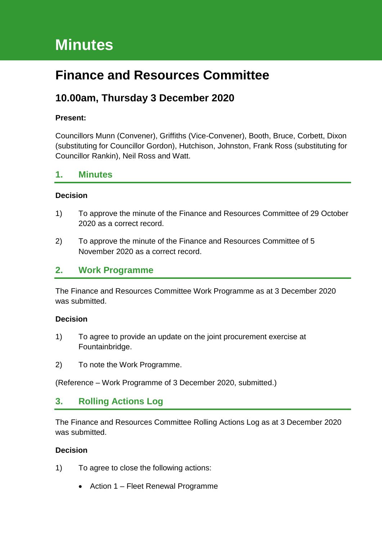# **Minutes**

# **Finance and Resources Committee**

# **10.00am, Thursday 3 December 2020**

#### **Present:**

Councillors Munn (Convener), Griffiths (Vice-Convener), Booth, Bruce, Corbett, Dixon (substituting for Councillor Gordon), Hutchison, Johnston, Frank Ross (substituting for Councillor Rankin), Neil Ross and Watt.

## **1. Minutes**

#### **Decision**

- 1) To approve the minute of the Finance and Resources Committee of 29 October 2020 as a correct record.
- 2) To approve the minute of the Finance and Resources Committee of 5 November 2020 as a correct record.

## **2. Work Programme**

The Finance and Resources Committee Work Programme as at 3 December 2020 was submitted.

#### **Decision**

- 1) To agree to provide an update on the joint procurement exercise at Fountainbridge.
- 2) To note the Work Programme.

(Reference – Work Programme of 3 December 2020, submitted.)

## **3. Rolling Actions Log**

The Finance and Resources Committee Rolling Actions Log as at 3 December 2020 was submitted.

#### **Decision**

- 1) To agree to close the following actions:
	- Action 1 Fleet Renewal Programme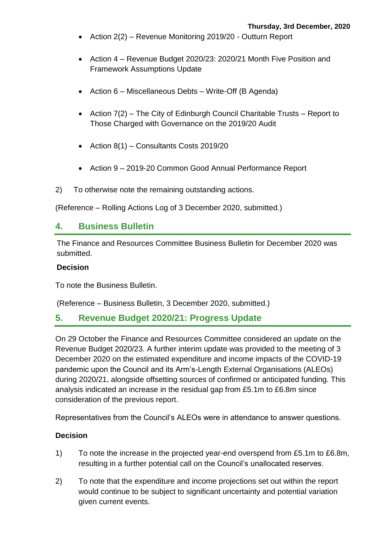- Action 2(2) Revenue Monitoring 2019/20 Outturn Report
- Action 4 Revenue Budget 2020/23: 2020/21 Month Five Position and Framework Assumptions Update
- Action  $6$  Miscellaneous Debts Write-Off (B Agenda)
- Action 7(2) The City of Edinburgh Council Charitable Trusts Report to Those Charged with Governance on the 2019/20 Audit
- Action  $8(1)$  Consultants Costs 2019/20
- Action 9 2019-20 Common Good Annual Performance Report
- 2) To otherwise note the remaining outstanding actions.

(Reference – Rolling Actions Log of 3 December 2020, submitted.)

## **4. Business Bulletin**

The Finance and Resources Committee Business Bulletin for December 2020 was submitted.

#### **Decision**

To note the Business Bulletin.

(Reference – Business Bulletin, 3 December 2020, submitted.)

## **5. Revenue Budget 2020/21: Progress Update**

On 29 October the Finance and Resources Committee considered an update on the Revenue Budget 2020/23. A further interim update was provided to the meeting of 3 December 2020 on the estimated expenditure and income impacts of the COVID-19 pandemic upon the Council and its Arm's-Length External Organisations (ALEOs) during 2020/21, alongside offsetting sources of confirmed or anticipated funding. This analysis indicated an increase in the residual gap from £5.1m to £6.8m since consideration of the previous report.

Representatives from the Council's ALEOs were in attendance to answer questions.

#### **Decision**

- 1) To note the increase in the projected year-end overspend from £5.1m to £6.8m, resulting in a further potential call on the Council's unallocated reserves.
- 2) To note that the expenditure and income projections set out within the report would continue to be subject to significant uncertainty and potential variation given current events.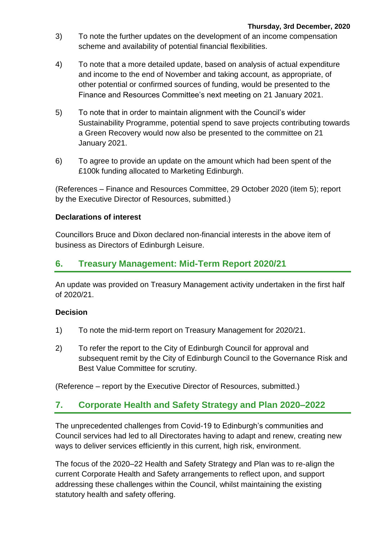- 3) To note the further updates on the development of an income compensation scheme and availability of potential financial flexibilities.
- 4) To note that a more detailed update, based on analysis of actual expenditure and income to the end of November and taking account, as appropriate, of other potential or confirmed sources of funding, would be presented to the Finance and Resources Committee's next meeting on 21 January 2021.
- 5) To note that in order to maintain alignment with the Council's wider Sustainability Programme, potential spend to save projects contributing towards a Green Recovery would now also be presented to the committee on 21 January 2021.
- 6) To agree to provide an update on the amount which had been spent of the £100k funding allocated to Marketing Edinburgh.

(References – Finance and Resources Committee, 29 October 2020 (item 5); report by the Executive Director of Resources, submitted.)

## **Declarations of interest**

Councillors Bruce and Dixon declared non-financial interests in the above item of business as Directors of Edinburgh Leisure.

# **6. Treasury Management: Mid-Term Report 2020/21**

An update was provided on Treasury Management activity undertaken in the first half of 2020/21.

## **Decision**

- 1) To note the mid-term report on Treasury Management for 2020/21.
- 2) To refer the report to the City of Edinburgh Council for approval and subsequent remit by the City of Edinburgh Council to the Governance Risk and Best Value Committee for scrutiny.

(Reference – report by the Executive Director of Resources, submitted.)

# **7. Corporate Health and Safety Strategy and Plan 2020–2022**

The unprecedented challenges from Covid-19 to Edinburgh's communities and Council services had led to all Directorates having to adapt and renew, creating new ways to deliver services efficiently in this current, high risk, environment.

The focus of the 2020–22 Health and Safety Strategy and Plan was to re-align the current Corporate Health and Safety arrangements to reflect upon, and support addressing these challenges within the Council, whilst maintaining the existing statutory health and safety offering.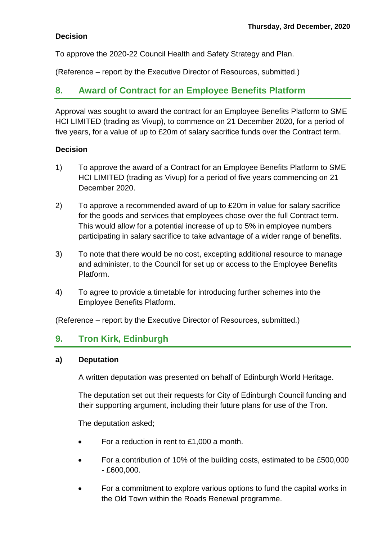## **Decision**

To approve the 2020-22 Council Health and Safety Strategy and Plan.

(Reference – report by the Executive Director of Resources, submitted.)

## **8. Award of Contract for an Employee Benefits Platform**

Approval was sought to award the contract for an Employee Benefits Platform to SME HCI LIMITED (trading as Vivup), to commence on 21 December 2020, for a period of five years, for a value of up to £20m of salary sacrifice funds over the Contract term.

#### **Decision**

- 1) To approve the award of a Contract for an Employee Benefits Platform to SME HCI LIMITED (trading as Vivup) for a period of five years commencing on 21 December 2020.
- 2) To approve a recommended award of up to £20m in value for salary sacrifice for the goods and services that employees chose over the full Contract term. This would allow for a potential increase of up to 5% in employee numbers participating in salary sacrifice to take advantage of a wider range of benefits.
- 3) To note that there would be no cost, excepting additional resource to manage and administer, to the Council for set up or access to the Employee Benefits Platform.
- 4) To agree to provide a timetable for introducing further schemes into the Employee Benefits Platform.

(Reference – report by the Executive Director of Resources, submitted.)

## **9. Tron Kirk, Edinburgh**

#### **a) Deputation**

A written deputation was presented on behalf of Edinburgh World Heritage.

The deputation set out their requests for City of Edinburgh Council funding and their supporting argument, including their future plans for use of the Tron.

The deputation asked;

- For a reduction in rent to £1,000 a month.
- For a contribution of 10% of the building costs, estimated to be £500,000 - £600,000.
- For a commitment to explore various options to fund the capital works in the Old Town within the Roads Renewal programme.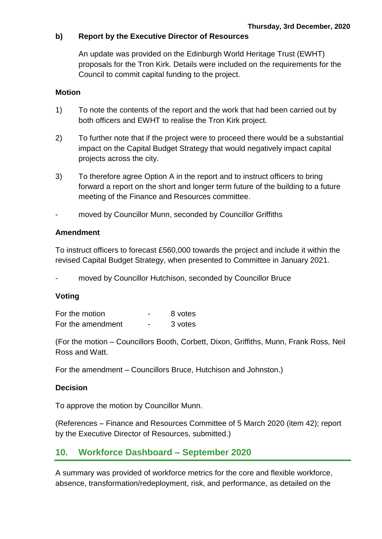#### **b) Report by the Executive Director of Resources**

An update was provided on the Edinburgh World Heritage Trust (EWHT) proposals for the Tron Kirk. Details were included on the requirements for the Council to commit capital funding to the project.

#### **Motion**

- 1) To note the contents of the report and the work that had been carried out by both officers and EWHT to realise the Tron Kirk project.
- 2) To further note that if the project were to proceed there would be a substantial impact on the Capital Budget Strategy that would negatively impact capital projects across the city.
- 3) To therefore agree Option A in the report and to instruct officers to bring forward a report on the short and longer term future of the building to a future meeting of the Finance and Resources committee.
- moved by Councillor Munn, seconded by Councillor Griffiths

#### **Amendment**

To instruct officers to forecast £560,000 towards the project and include it within the revised Capital Budget Strategy, when presented to Committee in January 2021.

moved by Councillor Hutchison, seconded by Councillor Bruce

#### **Voting**

| For the motion    | 8 votes |
|-------------------|---------|
| For the amendment | 3 votes |

(For the motion – Councillors Booth, Corbett, Dixon, Griffiths, Munn, Frank Ross, Neil Ross and Watt.

For the amendment – Councillors Bruce, Hutchison and Johnston.)

#### **Decision**

To approve the motion by Councillor Munn.

(References – Finance and Resources Committee of 5 March 2020 (item 42); report by the Executive Director of Resources, submitted.)

## **10. Workforce Dashboard – September 2020**

A summary was provided of workforce metrics for the core and flexible workforce, absence, transformation/redeployment, risk, and performance, as detailed on the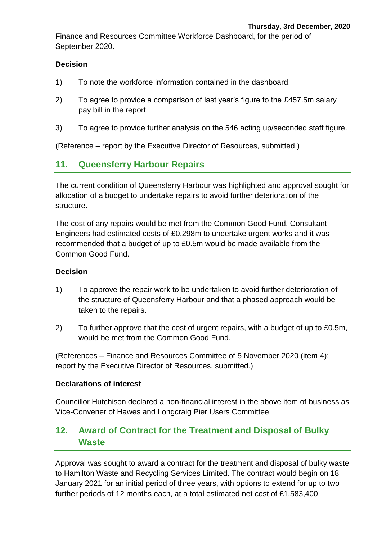Finance and Resources Committee Workforce Dashboard, for the period of September 2020.

#### **Decision**

- 1) To note the workforce information contained in the dashboard.
- 2) To agree to provide a comparison of last year's figure to the £457.5m salary pay bill in the report.
- 3) To agree to provide further analysis on the 546 acting up/seconded staff figure.

(Reference – report by the Executive Director of Resources, submitted.)

# **11. Queensferry Harbour Repairs**

The current condition of Queensferry Harbour was highlighted and approval sought for allocation of a budget to undertake repairs to avoid further deterioration of the structure.

The cost of any repairs would be met from the Common Good Fund. Consultant Engineers had estimated costs of £0.298m to undertake urgent works and it was recommended that a budget of up to £0.5m would be made available from the Common Good Fund.

#### **Decision**

- 1) To approve the repair work to be undertaken to avoid further deterioration of the structure of Queensferry Harbour and that a phased approach would be taken to the repairs.
- 2) To further approve that the cost of urgent repairs, with a budget of up to £0.5m, would be met from the Common Good Fund.

(References – Finance and Resources Committee of 5 November 2020 (item 4); report by the Executive Director of Resources, submitted.)

#### **Declarations of interest**

Councillor Hutchison declared a non-financial interest in the above item of business as Vice-Convener of Hawes and Longcraig Pier Users Committee.

# **12. Award of Contract for the Treatment and Disposal of Bulky Waste**

Approval was sought to award a contract for the treatment and disposal of bulky waste to Hamilton Waste and Recycling Services Limited. The contract would begin on 18 January 2021 for an initial period of three years, with options to extend for up to two further periods of 12 months each, at a total estimated net cost of £1,583,400.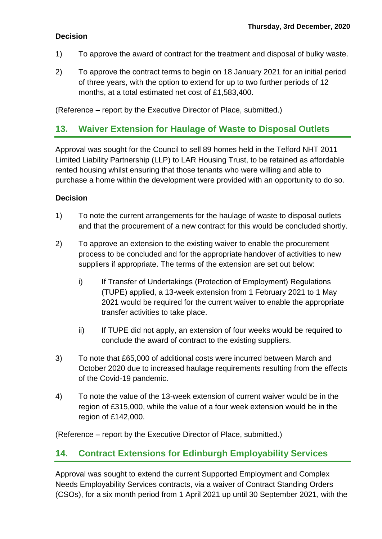## **Decision**

- 1) To approve the award of contract for the treatment and disposal of bulky waste.
- 2) To approve the contract terms to begin on 18 January 2021 for an initial period of three years, with the option to extend for up to two further periods of 12 months, at a total estimated net cost of £1,583,400.

(Reference – report by the Executive Director of Place, submitted.)

# **13. Waiver Extension for Haulage of Waste to Disposal Outlets**

Approval was sought for the Council to sell 89 homes held in the Telford NHT 2011 Limited Liability Partnership (LLP) to LAR Housing Trust, to be retained as affordable rented housing whilst ensuring that those tenants who were willing and able to purchase a home within the development were provided with an opportunity to do so.

## **Decision**

- 1) To note the current arrangements for the haulage of waste to disposal outlets and that the procurement of a new contract for this would be concluded shortly.
- 2) To approve an extension to the existing waiver to enable the procurement process to be concluded and for the appropriate handover of activities to new suppliers if appropriate. The terms of the extension are set out below:
	- i) If Transfer of Undertakings (Protection of Employment) Regulations (TUPE) applied, a 13-week extension from 1 February 2021 to 1 May 2021 would be required for the current waiver to enable the appropriate transfer activities to take place.
	- ii) If TUPE did not apply, an extension of four weeks would be required to conclude the award of contract to the existing suppliers.
- 3) To note that £65,000 of additional costs were incurred between March and October 2020 due to increased haulage requirements resulting from the effects of the Covid-19 pandemic.
- 4) To note the value of the 13-week extension of current waiver would be in the region of £315,000, while the value of a four week extension would be in the region of £142,000.

(Reference – report by the Executive Director of Place, submitted.)

# **14. Contract Extensions for Edinburgh Employability Services**

Approval was sought to extend the current Supported Employment and Complex Needs Employability Services contracts, via a waiver of Contract Standing Orders (CSOs), for a six month period from 1 April 2021 up until 30 September 2021, with the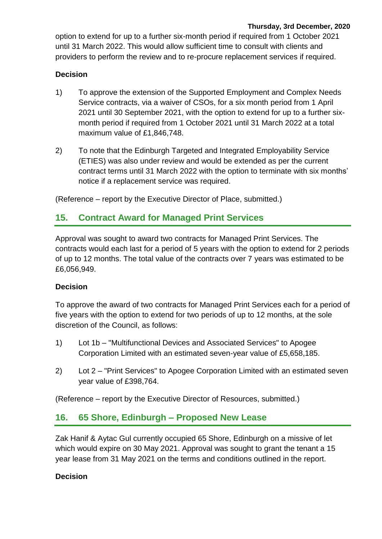option to extend for up to a further six-month period if required from 1 October 2021 until 31 March 2022. This would allow sufficient time to consult with clients and providers to perform the review and to re-procure replacement services if required.

## **Decision**

- 1) To approve the extension of the Supported Employment and Complex Needs Service contracts, via a waiver of CSOs, for a six month period from 1 April 2021 until 30 September 2021, with the option to extend for up to a further sixmonth period if required from 1 October 2021 until 31 March 2022 at a total maximum value of £1,846,748.
- 2) To note that the Edinburgh Targeted and Integrated Employability Service (ETIES) was also under review and would be extended as per the current contract terms until 31 March 2022 with the option to terminate with six months' notice if a replacement service was required.

(Reference – report by the Executive Director of Place, submitted.)

# **15. Contract Award for Managed Print Services**

Approval was sought to award two contracts for Managed Print Services. The contracts would each last for a period of 5 years with the option to extend for 2 periods of up to 12 months. The total value of the contracts over 7 years was estimated to be £6,056,949.

## **Decision**

To approve the award of two contracts for Managed Print Services each for a period of five years with the option to extend for two periods of up to 12 months, at the sole discretion of the Council, as follows:

- 1) Lot 1b "Multifunctional Devices and Associated Services" to Apogee Corporation Limited with an estimated seven-year value of £5,658,185.
- 2) Lot 2 "Print Services" to Apogee Corporation Limited with an estimated seven year value of £398,764.

(Reference – report by the Executive Director of Resources, submitted.)

# **16. 65 Shore, Edinburgh – Proposed New Lease**

Zak Hanif & Aytac Gul currently occupied 65 Shore, Edinburgh on a missive of let which would expire on 30 May 2021. Approval was sought to grant the tenant a 15 year lease from 31 May 2021 on the terms and conditions outlined in the report.

## **Decision**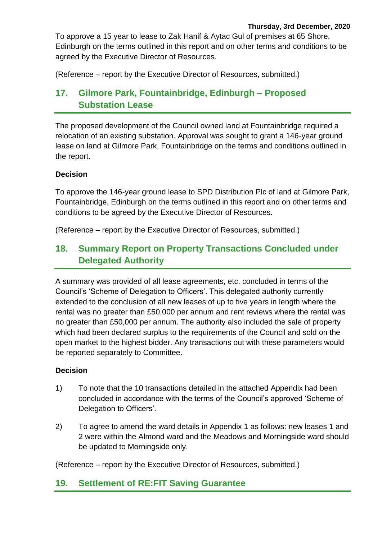To approve a 15 year to lease to Zak Hanif & Aytac Gul of premises at 65 Shore, Edinburgh on the terms outlined in this report and on other terms and conditions to be agreed by the Executive Director of Resources.

(Reference – report by the Executive Director of Resources, submitted.)

# **17. Gilmore Park, Fountainbridge, Edinburgh – Proposed Substation Lease**

The proposed development of the Council owned land at Fountainbridge required a relocation of an existing substation. Approval was sought to grant a 146-year ground lease on land at Gilmore Park, Fountainbridge on the terms and conditions outlined in the report.

## **Decision**

To approve the 146-year ground lease to SPD Distribution Plc of land at Gilmore Park, Fountainbridge, Edinburgh on the terms outlined in this report and on other terms and conditions to be agreed by the Executive Director of Resources.

(Reference – report by the Executive Director of Resources, submitted.)

# **18. Summary Report on Property Transactions Concluded under Delegated Authority**

A summary was provided of all lease agreements, etc. concluded in terms of the Council's 'Scheme of Delegation to Officers'. This delegated authority currently extended to the conclusion of all new leases of up to five years in length where the rental was no greater than £50,000 per annum and rent reviews where the rental was no greater than £50,000 per annum. The authority also included the sale of property which had been declared surplus to the requirements of the Council and sold on the open market to the highest bidder. Any transactions out with these parameters would be reported separately to Committee.

## **Decision**

- 1) To note that the 10 transactions detailed in the attached Appendix had been concluded in accordance with the terms of the Council's approved 'Scheme of Delegation to Officers'.
- 2) To agree to amend the ward details in Appendix 1 as follows: new leases 1 and 2 were within the Almond ward and the Meadows and Morningside ward should be updated to Morningside only.

(Reference – report by the Executive Director of Resources, submitted.)

# **19. Settlement of RE:FIT Saving Guarantee**